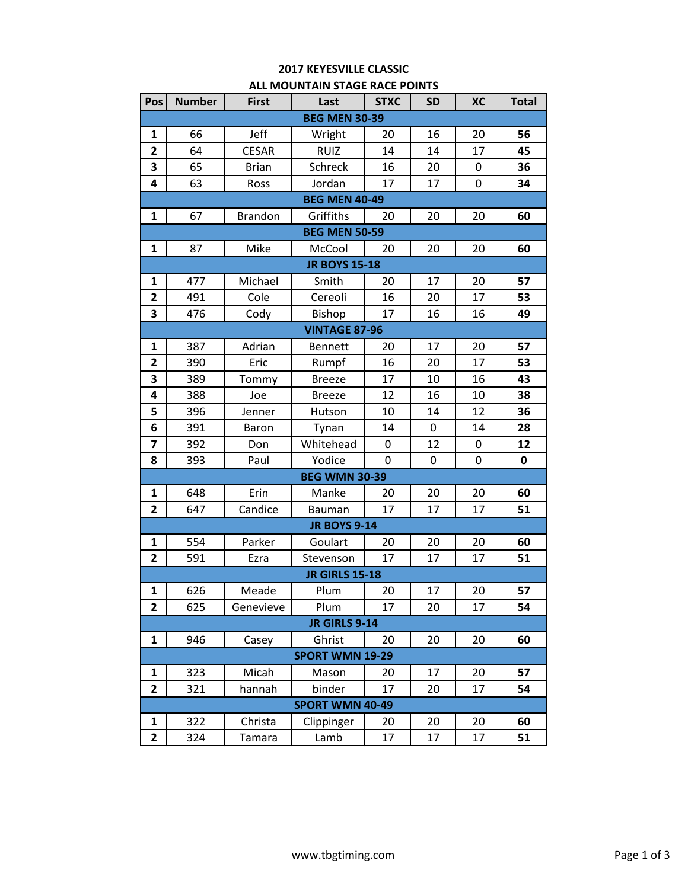## **2017 KEYESVILLE CLASSIC ALL MOUNTAIN STAGE RACE POINTS**

| Pos                    | <b>Number</b> | <b>First</b>   | Last                   | <b>STXC</b> | <b>SD</b> | <b>XC</b> | <b>Total</b> |  |
|------------------------|---------------|----------------|------------------------|-------------|-----------|-----------|--------------|--|
| <b>BEG MEN 30-39</b>   |               |                |                        |             |           |           |              |  |
| 1                      | 66            | Jeff           | Wright                 | 20          | 16        | 20        | 56           |  |
| 2                      | 64            | <b>CESAR</b>   | <b>RUIZ</b>            | 14          | 14        | 17        | 45           |  |
| 3                      | 65            | <b>Brian</b>   | Schreck                | 16          | 20        | 0         | 36           |  |
| 4                      | 63            | Ross           | Jordan                 | 17          | 17        | 0         | 34           |  |
|                        |               |                | <b>BEG MEN 40-49</b>   |             |           |           |              |  |
| $\mathbf{1}$           | 67            | <b>Brandon</b> | Griffiths              | 20          | 20        | 20        | 60           |  |
|                        |               |                | <b>BEG MEN 50-59</b>   |             |           |           |              |  |
| 1                      | 87            | Mike           | McCool                 | 20          | 20        | 20        | 60           |  |
|                        |               |                | <b>JR BOYS 15-18</b>   |             |           |           |              |  |
| 1                      | 477           | Michael        | Smith                  | 20          | 17        | 20        | 57           |  |
| $\overline{2}$         | 491           | Cole           | Cereoli                | 16          | 20        | 17        | 53           |  |
| 3                      | 476           | Cody           | Bishop                 | 17          | 16        | 16        | 49           |  |
| <b>VINTAGE 87-96</b>   |               |                |                        |             |           |           |              |  |
| 1                      | 387           | Adrian         | <b>Bennett</b>         | 20          | 17        | 20        | 57           |  |
| $\overline{2}$         | 390           | Eric           | Rumpf                  | 16          | 20        | 17        | 53           |  |
| 3                      | 389           | Tommy          | <b>Breeze</b>          | 17          | 10        | 16        | 43           |  |
| 4                      | 388           | Joe            | <b>Breeze</b>          | 12          | 16        | 10        | 38           |  |
| 5                      | 396           | Jenner         | Hutson                 | 10          | 14        | 12        | 36           |  |
| 6                      | 391           | <b>Baron</b>   | Tynan                  | 14          | 0         | 14        | 28           |  |
| 7                      | 392           | Don            | Whitehead              | $\mathbf 0$ | 12        | 0         | 12           |  |
| 8                      | 393           | Paul           | Yodice                 | 0           | 0         | 0         | 0            |  |
|                        |               |                | <b>BEG WMN 30-39</b>   |             |           |           |              |  |
| 1                      | 648           | Erin           | Manke                  | 20          | 20        | 20        | 60           |  |
| $\overline{2}$         | 647           | Candice        | <b>Bauman</b>          | 17          | 17        | 17        | 51           |  |
|                        |               |                | <b>JR BOYS 9-14</b>    |             |           |           |              |  |
| $\mathbf{1}$           | 554           | Parker         | Goulart                | 20          | 20        | 20        | 60           |  |
| $\mathbf{2}$           | 591           | Ezra           | Stevenson              | 17          | 17        | 17        | 51           |  |
|                        |               |                | <b>JR GIRLS 15-18</b>  |             |           |           |              |  |
| 1                      | 626           | Meade          | Plum                   | 20          | 17        | 20        | 57           |  |
| 2                      | 625           | Genevieve      | Plum                   | 17          | 20        | 17        | 54           |  |
|                        |               |                | JR GIRLS 9-14          |             |           |           |              |  |
| 1                      | 946           | Casey          | Ghrist                 | 20          | 20        | 20        | 60           |  |
|                        |               |                | <b>SPORT WMN 19-29</b> |             |           |           |              |  |
| 1                      | 323           | Micah          | Mason                  | 20          | 17        | 20        | 57           |  |
| 2                      | 321           | hannah         | binder                 | 17          | 20        | 17        | 54           |  |
| <b>SPORT WMN 40-49</b> |               |                |                        |             |           |           |              |  |
| $\mathbf{1}$           | 322           | Christa        | Clippinger             | 20          | 20        | 20        | 60           |  |
| $\mathbf{2}$           | 324           | Tamara         | Lamb                   | 17          | 17        | 17        | 51           |  |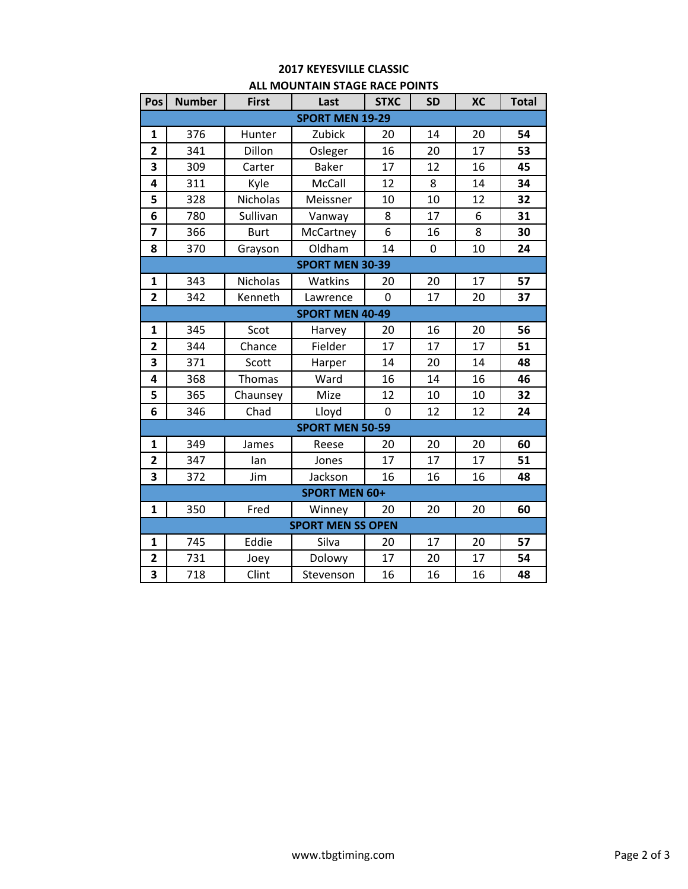## **2017 KEYESVILLE CLASSIC ALL MOUNTAIN STAGE RACE POINTS**

| Pos                      | <b>Number</b>          | <b>First</b>    | Last                   | <b>STXC</b>    | <b>SD</b> | <b>XC</b> | <b>Total</b> |  |
|--------------------------|------------------------|-----------------|------------------------|----------------|-----------|-----------|--------------|--|
| <b>SPORT MEN 19-29</b>   |                        |                 |                        |                |           |           |              |  |
| $\mathbf{1}$             | 376                    | Hunter          | Zubick                 | 20             | 14        | 20        | 54           |  |
| $\overline{\mathbf{c}}$  | 341                    | Dillon          | Osleger                | 16             | 20        | 17        | 53           |  |
| 3                        | 309                    | Carter          | <b>Baker</b>           | 17             | 12        | 16        | 45           |  |
| 4                        | 311                    | Kyle            | McCall                 | 12             | 8         | 14        | 34           |  |
| 5                        | 328                    | Nicholas        | Meissner               | 10             | 10        | 12        | 32           |  |
| 6                        | 780                    | Sullivan        | Vanway                 | 8              | 17        | 6         | 31           |  |
| 7                        | 366                    | <b>Burt</b>     | McCartney              | 6              | 16        | 8         | 30           |  |
| 8                        | 370                    | Grayson         | Oldham                 | 14             | 0         | 10        | 24           |  |
|                          |                        |                 | <b>SPORT MEN 30-39</b> |                |           |           |              |  |
| $\mathbf{1}$             | 343                    | <b>Nicholas</b> | Watkins                | 20             | 20        | 17        | 57           |  |
| $\overline{2}$           | 342                    | Kenneth         | Lawrence               | $\overline{0}$ | 17        | 20        | 37           |  |
| <b>SPORT MEN 40-49</b>   |                        |                 |                        |                |           |           |              |  |
| $\mathbf{1}$             | 345                    | Scot            | Harvey                 | 20             | 16        | 20        | 56           |  |
| $\overline{2}$           | 344                    | Chance          | Fielder                | 17             | 17        | 17        | 51           |  |
| 3                        | 371                    | Scott           | Harper                 | 14             | 20        | 14        | 48           |  |
| 4                        | 368                    | <b>Thomas</b>   | Ward                   | 16             | 14        | 16        | 46           |  |
| 5                        | 365                    | Chaunsey        | Mize                   | 12             | 10        | 10        | 32           |  |
| 6                        | 346                    | Chad            | Lloyd                  | 0              | 12        | 12        | 24           |  |
|                          | <b>SPORT MEN 50-59</b> |                 |                        |                |           |           |              |  |
| $\mathbf{1}$             | 349                    | James           | Reese                  | 20             | 20        | 20        | 60           |  |
| $\overline{2}$           | 347                    | lan             | Jones                  | 17             | 17        | 17        | 51           |  |
| 3                        | 372                    | Jim             | Jackson                | 16             | 16        | 16        | 48           |  |
| <b>SPORT MEN 60+</b>     |                        |                 |                        |                |           |           |              |  |
| $\mathbf{1}$             | 350                    | Fred            | Winney                 | 20             | 20        | 20        | 60           |  |
| <b>SPORT MEN SS OPEN</b> |                        |                 |                        |                |           |           |              |  |
| $\mathbf{1}$             | 745                    | Eddie           | Silva                  | 20             | 17        | 20        | 57           |  |
| $\overline{2}$           | 731                    | Joey            | Dolowy                 | 17             | 20        | 17        | 54           |  |
| 3                        | 718                    | Clint           | Stevenson              | 16             | 16        | 16        | 48           |  |